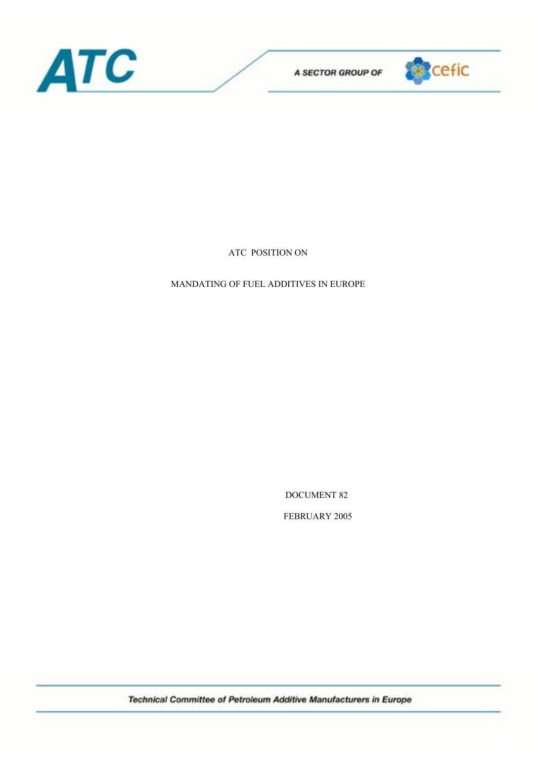



ATC POSITION ON

## MANDATING OF FUEL ADDITIVES IN EUROPE

DOCUMENT 82

FEBRUARY 2005

Technical Committee of Petroleum Additive Manufacturers in Europe